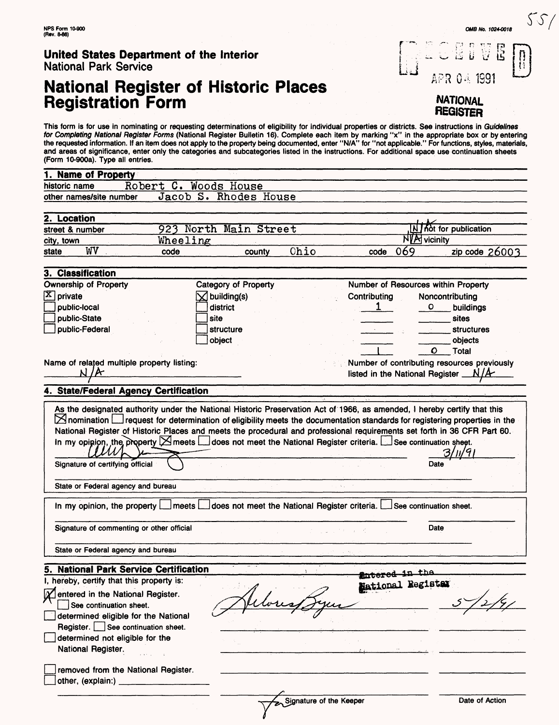# **National Register of Historic Places<br>Registration Form**

This form is for use in nominating or requesting determinations of eligibility for individual properties or districts. See instructions in G*uidelines*<br>*for Completing National Register Forms* (National Register Bulletin 1 the requested information. If an item does not apply to the property being documented, enter "N/A" for "not applicable." For functions, styles, materials, and areas of significance, enter only the categories and subcategories listed in the instructions. For additional space use continuation sheets (Form 10-900a). Type all entries.

|                      | 1. Name of Property                                                                             |                                                                                                                                                                                                                            |                                 |        |                         |                                                                                         |                   |                                     |                                             |
|----------------------|-------------------------------------------------------------------------------------------------|----------------------------------------------------------------------------------------------------------------------------------------------------------------------------------------------------------------------------|---------------------------------|--------|-------------------------|-----------------------------------------------------------------------------------------|-------------------|-------------------------------------|---------------------------------------------|
| historic name        |                                                                                                 | Robert C. Woods House                                                                                                                                                                                                      |                                 |        |                         |                                                                                         |                   |                                     |                                             |
|                      | other names/site number                                                                         |                                                                                                                                                                                                                            | Jacob S. Rhodes House           |        |                         |                                                                                         |                   |                                     |                                             |
| 2. Location          |                                                                                                 |                                                                                                                                                                                                                            |                                 |        |                         |                                                                                         |                   |                                     |                                             |
|                      |                                                                                                 |                                                                                                                                                                                                                            |                                 |        |                         |                                                                                         |                   |                                     |                                             |
|                      | N   hot for publication<br>923 North Main Street<br>street & number<br>NIA vicinity<br>Wheeling |                                                                                                                                                                                                                            |                                 |        |                         |                                                                                         |                   |                                     |                                             |
| city, town<br>state  | WV                                                                                              | code                                                                                                                                                                                                                       |                                 | county | Ohio                    |                                                                                         | 069<br>code       |                                     | zip code 26003                              |
|                      | 3. Classification                                                                               |                                                                                                                                                                                                                            |                                 |        |                         |                                                                                         |                   |                                     |                                             |
|                      | <b>Ownership of Property</b>                                                                    |                                                                                                                                                                                                                            | Category of Property            |        |                         |                                                                                         |                   | Number of Resources within Property |                                             |
| $\mathbf{X}$ private |                                                                                                 |                                                                                                                                                                                                                            | $\overline{\times}$ building(s) |        |                         | Contributing                                                                            |                   | Noncontributing                     |                                             |
|                      | public-local                                                                                    |                                                                                                                                                                                                                            | district                        |        |                         |                                                                                         | 1                 | o                                   | buildings                                   |
|                      | public-State                                                                                    |                                                                                                                                                                                                                            | site                            |        |                         |                                                                                         |                   |                                     | sites                                       |
|                      | public-Federal                                                                                  |                                                                                                                                                                                                                            | structure                       |        |                         |                                                                                         |                   |                                     |                                             |
|                      |                                                                                                 |                                                                                                                                                                                                                            |                                 |        |                         |                                                                                         |                   |                                     | <b>structures</b>                           |
|                      |                                                                                                 |                                                                                                                                                                                                                            | object                          |        |                         |                                                                                         |                   |                                     | objects                                     |
|                      |                                                                                                 |                                                                                                                                                                                                                            |                                 |        |                         |                                                                                         |                   | Ο                                   | Total                                       |
|                      | אי                                                                                              | Name of related multiple property listing:                                                                                                                                                                                 |                                 |        |                         |                                                                                         |                   | listed in the National Register _   | Number of contributing resources previously |
|                      |                                                                                                 | 4. State/Federal Agency Certification                                                                                                                                                                                      |                                 |        |                         |                                                                                         |                   |                                     |                                             |
|                      |                                                                                                 |                                                                                                                                                                                                                            |                                 |        |                         |                                                                                         |                   |                                     |                                             |
|                      | Signature of certifying official<br>In my opinion, the property $\lfloor$                       | In my opinion, the property $\blacktriangleright$ meets $\blacktriangleright$ does not meet the National Register criteria. $\blacktriangleright$ See continuation sheet.<br>State or Federal agency and bureau<br>  meets |                                 |        |                         | $\mathbf{A}$<br>does not meet the National Register criteria. Lesse continuation sheet. |                   | Date                                |                                             |
|                      |                                                                                                 | Signature of commenting or other official                                                                                                                                                                                  |                                 |        |                         |                                                                                         |                   | Date                                |                                             |
|                      |                                                                                                 | State or Federal agency and bureau                                                                                                                                                                                         |                                 |        |                         |                                                                                         |                   |                                     |                                             |
|                      |                                                                                                 | 5. National Park Service Certification                                                                                                                                                                                     |                                 |        |                         |                                                                                         | لمصححه            | <u>in tha</u>                       |                                             |
|                      |                                                                                                 | I, hereby, certify that this property is:                                                                                                                                                                                  |                                 |        |                         |                                                                                         | National Register |                                     |                                             |
|                      | See continuation sheet.<br>National Register.<br>other, (explain:)                              | <b>X</b> entered in the National Register.<br>determined eligible for the National<br>Register. See continuation sheet.<br>determined not eligible for the<br>removed from the National Register.                          |                                 |        |                         |                                                                                         |                   |                                     |                                             |
|                      |                                                                                                 |                                                                                                                                                                                                                            |                                 |        | Signature of the Keeper |                                                                                         |                   |                                     |                                             |
|                      |                                                                                                 |                                                                                                                                                                                                                            |                                 |        |                         |                                                                                         |                   |                                     | Date of Action                              |

**OW8 Mo. 1024-0018**

U Ë

APR 04 1991

**NATIONAL REGISTER**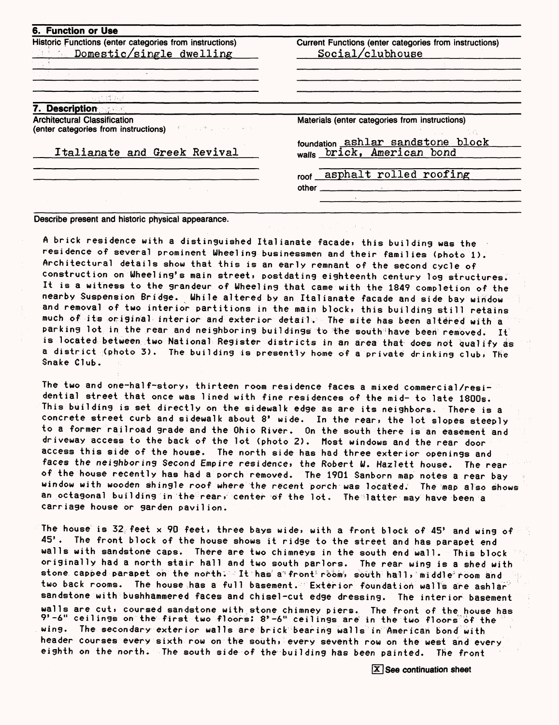| Historic Functions (enter categories from instructions)                                                   | Current Functions (enter categories from instructions) |  |  |  |
|-----------------------------------------------------------------------------------------------------------|--------------------------------------------------------|--|--|--|
| <b>Example 2</b> Domestic/single dwelling                                                                 | Social(clubhouse                                       |  |  |  |
|                                                                                                           |                                                        |  |  |  |
|                                                                                                           |                                                        |  |  |  |
|                                                                                                           |                                                        |  |  |  |
| <sub>の出</sub> 行ばなば                                                                                        |                                                        |  |  |  |
| <b>Description</b>                                                                                        |                                                        |  |  |  |
| <b>Architectural Classification</b><br>(enter categories from instructions) and the state of the state of | Materials (enter categories from instructions)         |  |  |  |
|                                                                                                           | foundation ashlar sandstone block                      |  |  |  |
| Italianate and Greek Revival                                                                              | walls brick, American bond                             |  |  |  |
|                                                                                                           | roof asphalt rolled roofing                            |  |  |  |
|                                                                                                           |                                                        |  |  |  |
|                                                                                                           |                                                        |  |  |  |

Describe present and historic physical appearance.

A brick residence with a distinguished Italianate facade, this building was the residence of several prominent Wheeling businessmen and their families (photo 1). Architectural details show that this is an early remnant of the second cycle of construction on Wheeling's main street, postdating eighteenth century log structures. It is a witness to the grandeur of Wheeling that came with the 1849 completion of the nearby Suspension Bridge. While altered by an Italianate facade and side bay window and removal of two interior partitions in the main block, this building still retains much of its original interior and exterior detail. The site has been altered with a parking lot in the rear and neighboring buildings to the south have been removed. It is located between two National Register districts in an area that does not qualify as a district (photo 3). The building is presently home of a private drinking club\* The Snake Club.

The two and one-half-story, thirteen room residence faces a mixed commercial/residential street that once was lined with fine residences of the mid- to late 1800s. This building is set directly on the sidewalk edge as are its neighbors. There is a concrete street curb and sidewalk about 8' wide. In the rear, the lot slopes steeply to a former railroad grade and the Ohio River. On the south there is an easement and driveway access to the back of the lot (photo 2). Most windows and the rear door access this side of the house. The north side has had three exterior openings and faces the neighboring Second Empire residence, the Robert W. Hazlett house. The rear of the house recently has had a porch removed. The 1901 Sanborn map notes a rear bay window with wooden shingle roof where the recent porch was located. The map also shows an octagonal building in the rear, center of the lot. The-latter may have been a carriage house or garden pavilion.

The house is 32 feet x 90 feet, three bays wide, with a front block of 45' and wing of 45'. The front block of the house shows it ridge to the street and has parapet end walls with sandstone caps. There are two chimneys in the south end wall. This block originally had a north stair hall and two south parlors. The rear wing is a shed with stone capped parapet on the north; It has a front-room, south hall, middle room and two back rooms. The house has a full basement. Exterior foundation walls are ashlar sandstone with bushhammered faces and chisel-cut edge dressing. The interior basement walls are cut, coursed sandstone with stone chimney piers. The front of the house has  $9'$ -6" ceilings on the first two floors:  $8'$ -6" ceilings are in the two floors of the wing. The secondary exterior walls are brick bearing walls in American bond with header courses every sixth row on the south, every seventh row on the west and every eighth on the north. The south side of the building has been painted. The front

[x] See continuation sheet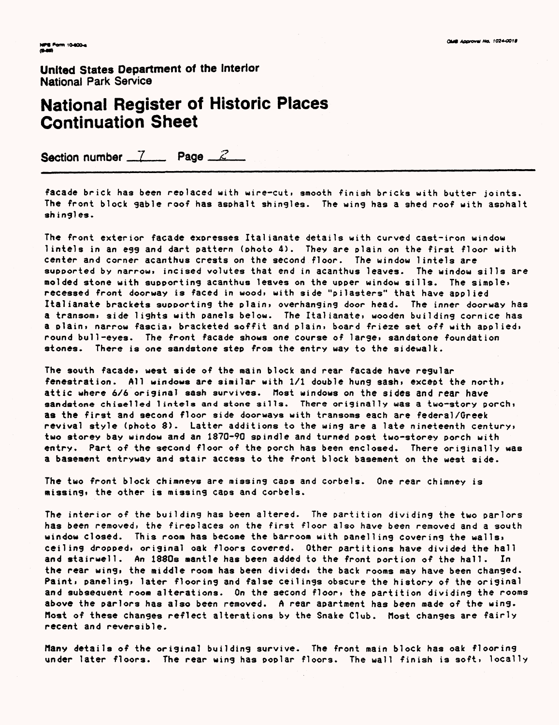## National Register of Historic Places Continuation Sheet

Section number  $\frac{7}{2}$  Page  $\frac{2}{2}$ 

facade brick has been replaced with wire-cut, smooth finish bricks with butter joints. The front block sable roof has asphalt shingles. The wing has a shed roof with asohalt shingles.

The front exterior facade exoresses Italianate details with curved cast-iron window lintels in an egg and dart pattern (photo 4). They are plain on the first floor with center and corner acanthus crests on the second floor. The window lintels are supported by narrow, incised volutes that end in acanthus leaves. The window sills are molded stone with supporting acanthus leaves on the upper window sills. The simple, recessed front doorway is faced in woodi with side "pilasters" that have applied Italianate brackets supporting the plain, overhanging door head. The inner doorway has a transom, side lights with panels below. The Italianate, wooden building cornice has a plain, narrow fascia, bracketed soffit and plain, board frieze set off with applied, round bull-eyes. The front facade shows one course of large\* sandstone foundation stones. There is one sandstone step from the entry way to the sidewalk.

The south facade, west side of the main block and rear facade have regular fenestration. All windows are similar with 1/1 double hung sash, except the north, attic where 6/6 original sash survives. Most windows on the sides and rear have sandstone chiselled lintels and stone sills. There originally was a two-story porch; as the first and second floor side doorways with transoms each are federal/Greek revival style (photo 8). Latter additions to the wing are a late nineteenth century, two storey bay window and an 1870-90 spindle and turned post two-storey porch with entry. Part of the second floor of the porch has been enclosed. There originally was a basement entryway and stair access to the front block basement on the west side.

The two front block chimneys are missing caps and corbels. One rear chimney is missing, the other is missing caps and corbels.

The interior of the building has been altered. The partition dividing the two parlors has been removed, the fireplaces on the first floor also have been removed and a south window closed. This room has become the barroom with panelling covering the walls, ceiling dropped, original oak floors covered. Other partitions have divided the hall and stairwell. An 1880s mantle has been added to the front portion of the hall. In the rear wing, the middle room has been divided, the back rooms may have been changed. Paint, paneling, later flooring and false ceilings obscure the history of the original and subsequent room alterations. On the second floor, the partition dividing the rooms above the parlors has also been removed. A rear apartment has been made of the wing. Most of these changes reflect alterations by the Snake Club. Host changes are fairly recent and reversible.

Many details of the original building survive. The front main block has oak flooring under later floors. The rear wing has poplar floors. The wall finish is soft, locally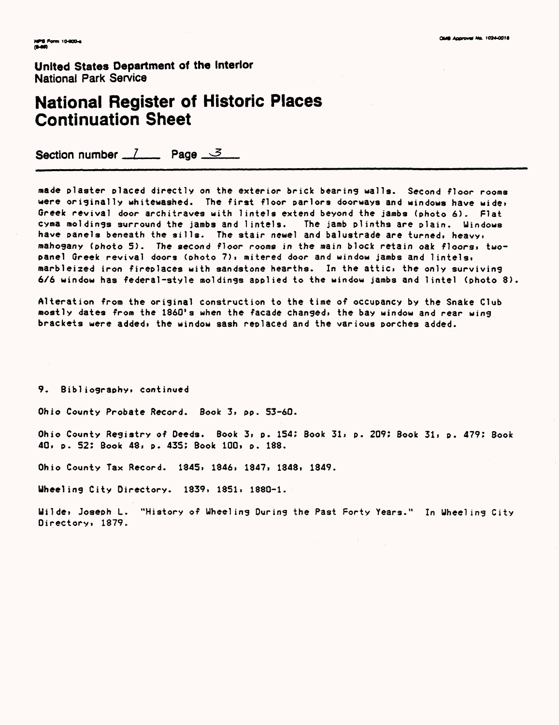### **National Register of Historic Places Continuation Sheet**

Section number  $\frac{7}{2}$  Page  $\frac{3}{2}$ 

made plaster placed directly on the exterior brick bearing walla. Second floor rooms were originally whitewashed. The first floor parlors doorways and windows have wide, Greek revival door architraves with lintels extend beyond the jambs (photo 6). Flat cyma moldings surround the jambs and lintels. The jamb plinths are plain. Uindows have panels beneath the sills. The stair newel and balustrade are turned, heavy, mahogany (photo 5). The second floor rooms in the main block retain oak floors, twopanel Greek revival doors (photo 7), mitered door and window jambs and lintels, marbleized iron fireplaces with sandstone hearths. In the attic, the only surviving 6/6 window has federal-style moldings applied to the window jambs and lintel (photo 8)

Alteration from the original construction to the time of occupancy by the Snake Club mostly dates from the 1860's when the facade changed, the bay window and rear wing brackets were added, the window sash replaced and the various porches added.

9. Bibliography, continued

Ohio County Probate Record. Book 3, pp. 53-60.

Ohio County Registry of Deeds. Book 3, p. 154: Book 31, p. 209: Book 31, p. 479: Book 40, p. 52; Book 48, p. 435; Book 100, p. 188.

Ohio County Tax Record. 1845, 1846, 1847, 1848, 1849.

Uheeling City Directory. 1839, 1851, 1880-1.

Uilde, Joseph L. "History of Uheeling During the Past Forty Years." In Wheeling City Directory, 1879.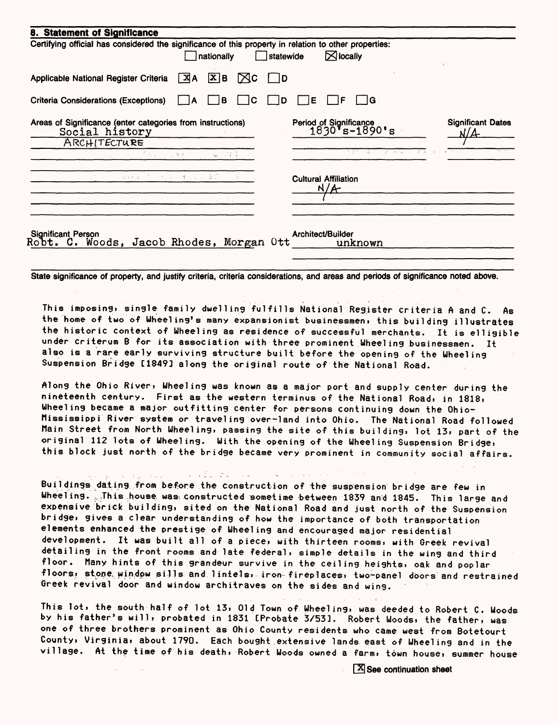| 8. Statement of Significance                                                                          |       |                        |                 |           |                                         |                                 |
|-------------------------------------------------------------------------------------------------------|-------|------------------------|-----------------|-----------|-----------------------------------------|---------------------------------|
| Certifying official has considered the significance of this property in relation to other properties: |       |                        |                 |           |                                         |                                 |
|                                                                                                       |       | nationally             |                 | statewide | $\boxtimes$ locally                     |                                 |
|                                                                                                       |       |                        |                 |           |                                         |                                 |
| Applicable National Register Criteria                                                                 | $X$ A | $\boxed{\mathbf{X}}$ B | IXC             | 1 ID      |                                         |                                 |
|                                                                                                       |       |                        |                 |           |                                         |                                 |
| <b>Criteria Considerations (Exceptions)</b>                                                           |       | в                      | C               | l D       | l IG.<br>Е                              |                                 |
|                                                                                                       |       |                        |                 |           |                                         |                                 |
| Areas of Significance (enter categories from instructions)<br>Social history                          |       |                        |                 |           | Period of Significance<br>1830's-1890's | <b>Significant Dates</b><br>N/A |
| ARCHITECTURE                                                                                          |       |                        |                 |           |                                         |                                 |
| しょうこうきょうしょ 御座の                                                                                        |       |                        | $2 - 78.2 - 5.$ |           | ਨੇ ਦੂਸ ਨੇ ਡੋ ਕਿਹਾ ਕਾ ਕਿਸਾਬਾ             |                                 |
|                                                                                                       |       |                        |                 |           |                                         |                                 |
| こうはんない しょうせいしょうえい あざい                                                                                 |       |                        |                 |           | <b>Cultural Affiliation</b>             |                                 |
|                                                                                                       |       |                        |                 |           | N/A                                     |                                 |
|                                                                                                       |       | コードウェー                 |                 |           |                                         |                                 |
|                                                                                                       |       |                        |                 |           |                                         |                                 |
|                                                                                                       |       |                        |                 |           |                                         |                                 |
| Significant Person<br>Robt. C. Woods, Jacob Rhodes, Morgan Ott                                        |       |                        |                 |           | Architect/Builder                       |                                 |
|                                                                                                       |       |                        |                 |           | unknown                                 |                                 |
|                                                                                                       |       |                        |                 |           |                                         |                                 |

State significance of property, and justify criteria, criteria considerations, and areas and periods of significance noted above.

This imposing, single family dwelling fulfills National Register criteria A and C. As the home of two of Wheeling's many expansionist businessmen, this building illustrates the historic context of Wheeling as residence of successful merchants. It is elligible under criterum B for its association with three prominent Wheel ing businessmen. It also is a rare early surviving structure built before the opening of the Wheeling Suspension Bridge [1849] along the original route of the National Road.

Along the Ohio River» Wheeling was known as a major port and supply center during the nineteenth century. First as the western terminus of the National Road, in 1818, Wheeling became a major outfitting center for persons continuing down the Ohio-Mississippi River system or travel ing over-land into Ohio. The National Road followed Main Street from North Wheeling, passing the site of this building, lot 13i part of the original 112 Tots of Wheeling. With the opening of the Wheeling Suspension Bridge, this block just north of the bridge became very prominent in community social affairs.

. . . . . . . <del>.</del> .

**Strait** 

Buildings\_dating from before the construct ion of the suspension bridge are few in Wheeling. This house was constructed sometime between 1839 and 1845. This large and expensive brick building, sited on the National Road and just north of the Suspension bridge, gives a clear understanding of how the importance of both transportation elements enhanced the prestige of Wheel ing and encouraged major residential development. It was built all of a piece, with thirteen rooms, with Greek revival detail ing in the front rooms and late federal, simple details in the wing and third floor. Many hints of this grandeur survive in the ceiling heights, oak and poplar floors, stone window sills and lintels, iron fireplaces, two-panel doors and restrained Greek revival door and window architraves on the sides and wing.

This lot, the south half of lot 13, Old Town of Wheeling, was deeded to Robert C. Woods by his father's will, probated in 1831 [Probate 3/53]. Robert Woods, the father, was one of three brothers prominent as Ohio County residents who came west from Botetourt County, Virginia, about 1790. Each bought extensive lands east of Wheeling and in the village. At the time of his death, Robert Woods owned a farm, town house, summer house

 $\sqrt{\mathbf{X}}$  See continuation sheet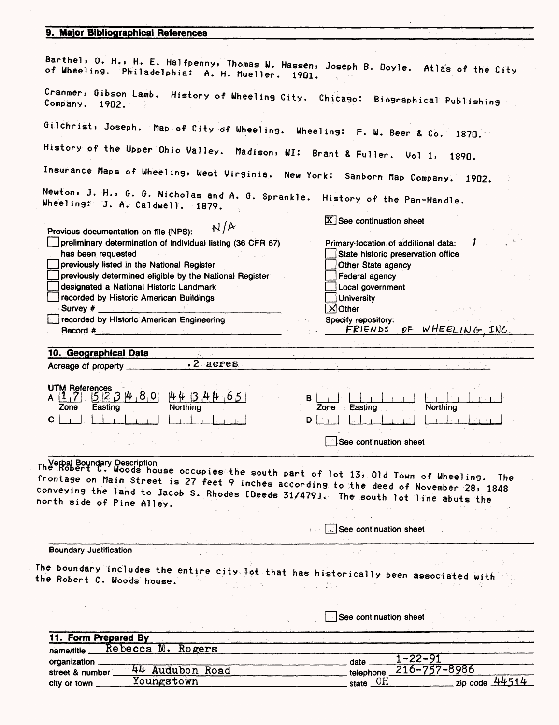#### **9. Major Bibliographical References**

| Barthel, O. H., H. E. Halfpenny, Thomas W. Hassen, Joseph B. Doyle. Atlas of the City<br>of Wheeling. Philadelphia: A. H. Mueller. 1901.                                                                                                                                                        |                                              |
|-------------------------------------------------------------------------------------------------------------------------------------------------------------------------------------------------------------------------------------------------------------------------------------------------|----------------------------------------------|
| Cranmer, Gibson Lamb. History of Wheeling City. Chicago: Biographical Publishing<br>Company. 1902.                                                                                                                                                                                              |                                              |
| Gilchrist, Joseph. Map of City of Wheeling. Wheeling: F. W. Beer & Co. 1870.                                                                                                                                                                                                                    |                                              |
| History of the Upper Ohio Valley. Madison, WI: Brant & Fuller. Vol 1,                                                                                                                                                                                                                           | 1890.                                        |
| Insurance Maps of Wheeling, West Virginia. New York: Sanborn Map Company. 1902.                                                                                                                                                                                                                 |                                              |
| Newton, J. H., G. G. Nicholas and A. G. Sprankle. History of the Pan-Handle.<br>Wheeling: J. A. Caldwell. 1879.                                                                                                                                                                                 |                                              |
| N/A<br>Previous documentation on file (NPS):                                                                                                                                                                                                                                                    | $\boxed{\mathbf{X}}$ See continuation sheet  |
|                                                                                                                                                                                                                                                                                                 |                                              |
| preliminary determination of individual listing (36 CFR 67)                                                                                                                                                                                                                                     | Primary location of additional data:         |
| has been requested                                                                                                                                                                                                                                                                              | State historic preservation office           |
| previously listed in the National Register                                                                                                                                                                                                                                                      | Other State agency                           |
| previously determined eligible by the National Register                                                                                                                                                                                                                                         | Federal agency                               |
| designated a National Historic Landmark                                                                                                                                                                                                                                                         | Local government                             |
| recorded by Historic American Buildings                                                                                                                                                                                                                                                         | <b>University</b>                            |
| Survey # 2009 Survey # 2009                                                                                                                                                                                                                                                                     | $\overline{\times}$ Other                    |
| recorded by Historic American Engineering                                                                                                                                                                                                                                                       | Specify repository:                          |
| $\mathsf{Record}~#$<br>the control of the control of the control of the control of the                                                                                                                                                                                                          | FRIENDS OF WHEELING INC.                     |
|                                                                                                                                                                                                                                                                                                 |                                              |
| 10. Geographical Data                                                                                                                                                                                                                                                                           |                                              |
| $.2$ acres.                                                                                                                                                                                                                                                                                     |                                              |
| Acreage of property ______                                                                                                                                                                                                                                                                      |                                              |
| <b>UTM References</b><br>523480<br>4434465<br>$A$ $ 1,7 $<br>Northing<br>Zone<br>Easting<br>C.                                                                                                                                                                                                  | B I<br>Zone Easting<br><b>Northing</b><br>DI |
|                                                                                                                                                                                                                                                                                                 |                                              |
|                                                                                                                                                                                                                                                                                                 | See continuation sheet                       |
| The Robert C. Woods house occupies the south part of lot 13, 0ld Town of Wheeling.<br>frontage on Main Street is 27 feet 9 inches according to the deed of November 28, 1848<br>conveying the land to Jacob S. Rhodes [Deeds 31/479]. The south lot line abuts the<br>north side of Pine Alley. | The                                          |
|                                                                                                                                                                                                                                                                                                 |                                              |
|                                                                                                                                                                                                                                                                                                 | See continuation sheet                       |
| <b>Boundary Justification</b>                                                                                                                                                                                                                                                                   |                                              |
|                                                                                                                                                                                                                                                                                                 |                                              |
| The boundary includes the entire city lot that has historically been associated with<br>the Robert C. Woods house.                                                                                                                                                                              | せいこうぼく                                       |
|                                                                                                                                                                                                                                                                                                 |                                              |
|                                                                                                                                                                                                                                                                                                 | See continuation sheet                       |
| 11. Form Prepared By                                                                                                                                                                                                                                                                            |                                              |
| Rebecca M. Rogers<br>name/title                                                                                                                                                                                                                                                                 |                                              |
|                                                                                                                                                                                                                                                                                                 | $1 - 22 - 91$                                |
| organization ____<br>44 Audubon Road                                                                                                                                                                                                                                                            | date $\mathbf{r}$<br>216-757-8986            |
| street & number_                                                                                                                                                                                                                                                                                | telephone                                    |
| Youngstown<br>city or town _                                                                                                                                                                                                                                                                    | zip code $44514$<br>state $\underline{OH}$   |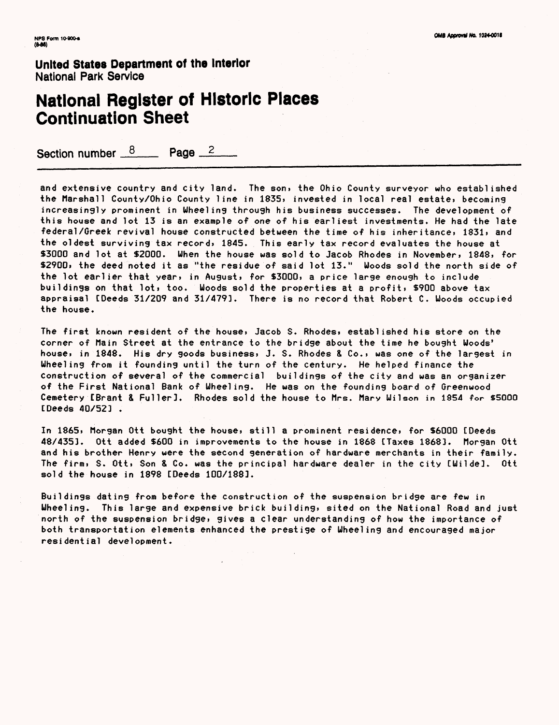## National Register of Historic Places Continuation Sheet

Section number  $8 \qquad$  Page  $2 \qquad$ 

and extensive country and city land. The son, the Ohio County surveyor who established the Marshall County/Ohio County line in 1835, invested in local real estate, becoming increasingly prominent in Wheelin9 through his business successes. The development of this house and lot 13 is an example of one of his earliest investments. He had the late federal/Greek revival house constructed between the time of his inheritance, 1831, and the oldest surviving tax record, 1845. This early tax record evaluates the house at \$3000 and lot at \$2000. When the house was sold to Jacob Rhodes in November, 1848, for \$2900, the deed noted it as "the residue of said lot 13." Woods sold the north side of the lot earlier that year, in August, for \$3000, a price large enough to include buildings on that lot, too. Woods sold the properties at a profit, \$900 above tax appraisal [Deeds 31/209 and 31/4793. There is no record that Robert C. Woods occupied the house.

The first known resident of the house, Jacob S. Rhodes, established his store on the corner of Main Street at the entrance to the bridge about the time he bought Woods' house, in 1848. His dry goods business, J. S. Rhodes & Co., was one of the largest in Wheeling from it founding until the turn of the century. He helped finance the construction of several of the commercial buildings of the city and was an organizer of the First National Bank of Wheeling. He was on the founding board of Greenwood Cemetery [Brant & Fuller]. Rhodes sold the house to firs. Mary Wilson in 1954 for \$5000 [Deeds 40/52] .

In 1865, Morgan Ott bought the house, still a prominent residence, for \$6000 [Deeds 48/4353. Ott added \$600 in improvements to the house in 1868 [Taxes 1868]. Morgan Ott and his brother Henry were the second generation of hardware merchants in their family. The firm, S. Ott, Son & Co. was the principal hardware dealer in the city [Wilde]. Ott sold the house in 1898 [Deeds 100/188].

Buildings dating from before the construction of the suspension bridge are few in Wheeling. This large and expensive brick building, sited on the National Road and just north of the suspension bridge, gives a clear understanding of how the importance of both transportation elements enhanced the prestige of Wheeling and encouraged major residential development.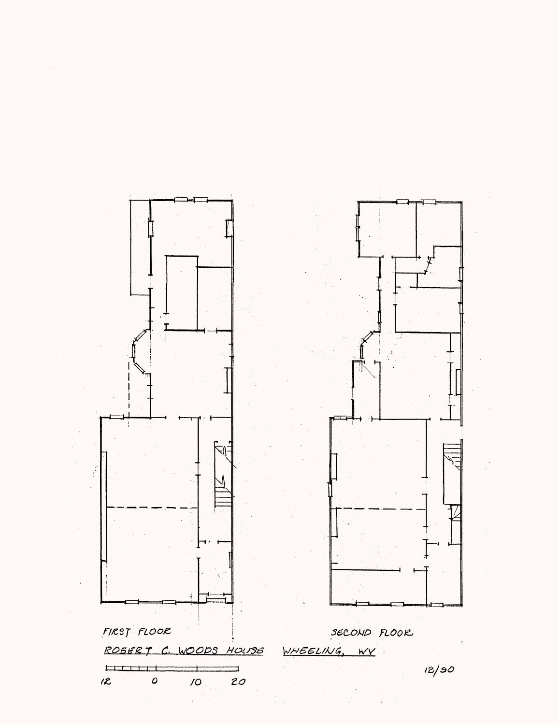

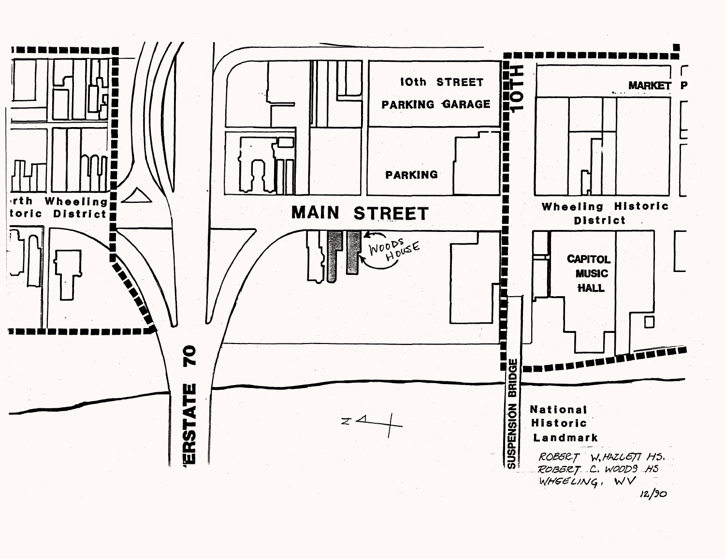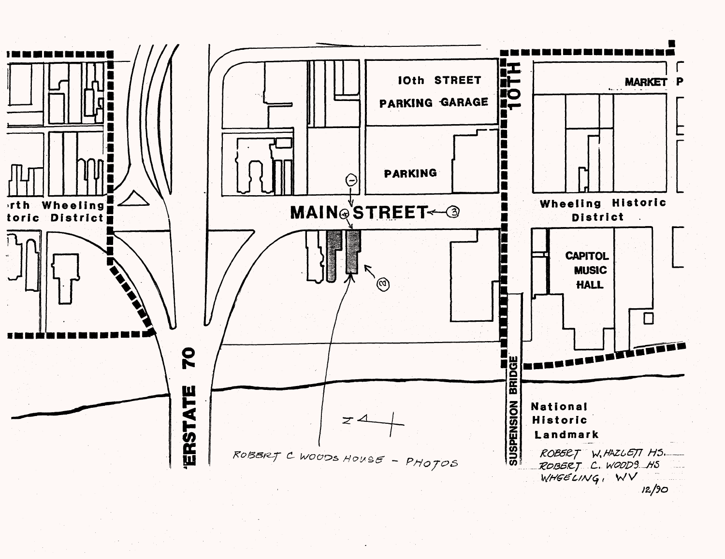